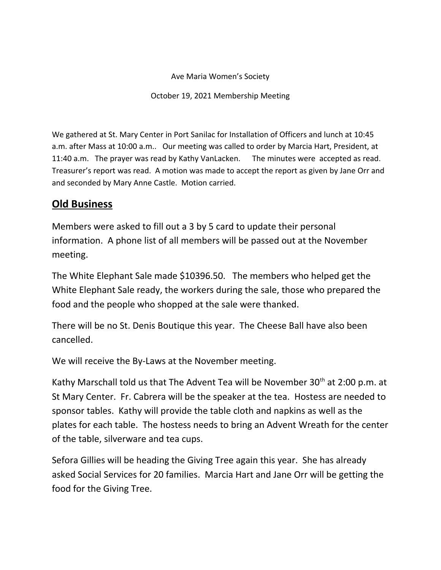## Ave Maria Women's Society

October 19, 2021 Membership Meeting

We gathered at St. Mary Center in Port Sanilac for Installation of Officers and lunch at 10:45 a.m. after Mass at 10:00 a.m.. Our meeting was called to order by Marcia Hart, President, at 11:40 a.m. The prayer was read by Kathy VanLacken. The minutes were accepted as read. Treasurer's report was read. A motion was made to accept the report as given by Jane Orr and and seconded by Mary Anne Castle. Motion carried.

## **Old Business**

Members were asked to fill out a 3 by 5 card to update their personal information. A phone list of all members will be passed out at the November meeting.

The White Elephant Sale made \$10396.50. The members who helped get the White Elephant Sale ready, the workers during the sale, those who prepared the food and the people who shopped at the sale were thanked.

There will be no St. Denis Boutique this year. The Cheese Ball have also been cancelled.

We will receive the By-Laws at the November meeting.

Kathy Marschall told us that The Advent Tea will be November 30<sup>th</sup> at 2:00 p.m. at St Mary Center. Fr. Cabrera will be the speaker at the tea. Hostess are needed to sponsor tables. Kathy will provide the table cloth and napkins as well as the plates for each table. The hostess needs to bring an Advent Wreath for the center of the table, silverware and tea cups.

Sefora Gillies will be heading the Giving Tree again this year. She has already asked Social Services for 20 families. Marcia Hart and Jane Orr will be getting the food for the Giving Tree.